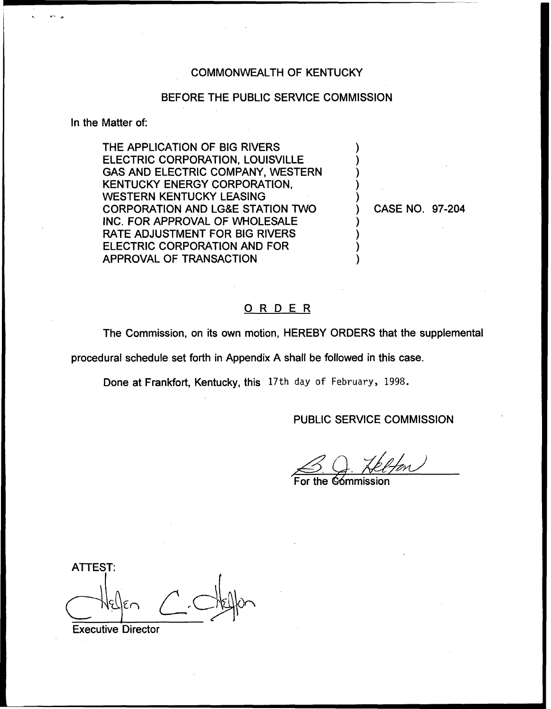### COMMONWEALTH OF KENTUCKY

#### BEFORE THE PUBLIC SERVICE COMMISSION

### In the Matter of:

THE APPLICATION OF BIG RIVERS ELECTRIC CORPORATION, LOUISVILLE GAS AND ELECTRIC COMPANY, WESTERN KENTUCKY ENERGY CORPORATION, WESTERN KENTUCKY LEASING CORPORATION AND LG&E STATION TWO INC. FOR APPROVAL OF WHOLESALE RATE ADJUSTMENT FOR BIG RIVERS ELECTRIC CORPORATION AND FOR APPROVAL OF TRANSACTION

) CASE NO. 97-204

### ORDER

The Commission, on its own motion, HEREBY ORDERS that the supplemental

procedural schedule set forth in Appendix A shall be followed in this case.

Done at Frankfort, Kentucky, this 17th day of February, 1998.

### PUBLIC SERVICE COMMISSION

) ) ) ) )

) ) ) )

B. J. Helfon

For the Gómmissio

ATTEST:

Executive Director